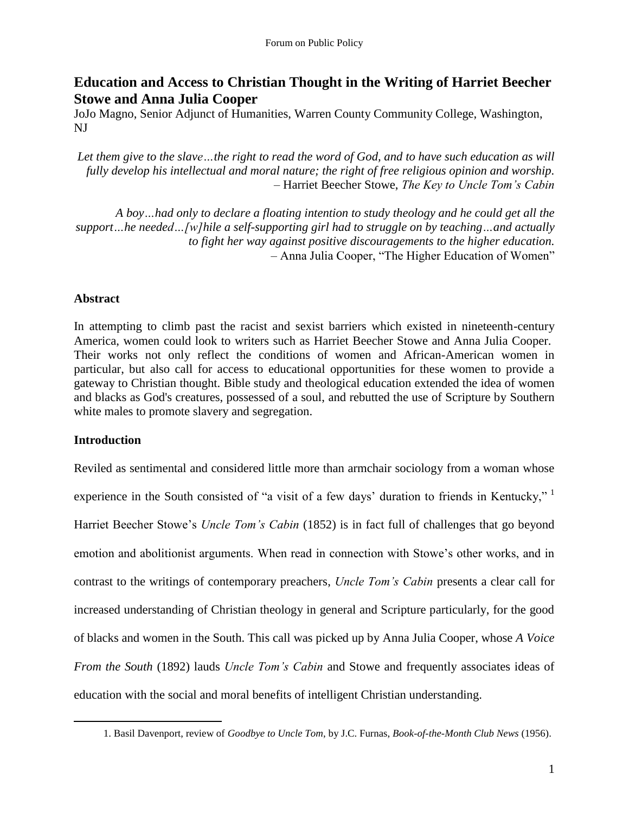# **Education and Access to Christian Thought in the Writing of Harriet Beecher Stowe and Anna Julia Cooper**

JoJo Magno, Senior Adjunct of Humanities, Warren County Community College, Washington, NJ

*Let them give to the slave…the right to read the word of God, and to have such education as will fully develop his intellectual and moral nature; the right of free religious opinion and worship.* – Harriet Beecher Stowe, *The Key to Uncle Tom's Cabin*

*A boy…had only to declare a floating intention to study theology and he could get all the support…he needed…[w]hile a self-supporting girl had to struggle on by teaching…and actually to fight her way against positive discouragements to the higher education.* – Anna Julia Cooper, "The Higher Education of Women"

# **Abstract**

In attempting to climb past the racist and sexist barriers which existed in nineteenth-century America, women could look to writers such as Harriet Beecher Stowe and Anna Julia Cooper. Their works not only reflect the conditions of women and African-American women in particular, but also call for access to educational opportunities for these women to provide a gateway to Christian thought. Bible study and theological education extended the idea of women and blacks as God's creatures, possessed of a soul, and rebutted the use of Scripture by Southern white males to promote slavery and segregation.

# **Introduction**

 $\overline{a}$ 

Reviled as sentimental and considered little more than armchair sociology from a woman whose experience in the South consisted of "a visit of a few days' duration to friends in Kentucky,"  $\frac{1}{1}$ Harriet Beecher Stowe's *Uncle Tom's Cabin* (1852) is in fact full of challenges that go beyond emotion and abolitionist arguments. When read in connection with Stowe's other works, and in contrast to the writings of contemporary preachers, *Uncle Tom's Cabin* presents a clear call for increased understanding of Christian theology in general and Scripture particularly, for the good of blacks and women in the South. This call was picked up by Anna Julia Cooper, whose *A Voice From the South* (1892) lauds *Uncle Tom's Cabin* and Stowe and frequently associates ideas of education with the social and moral benefits of intelligent Christian understanding.

<sup>1.</sup> Basil Davenport, review of *Goodbye to Uncle Tom*, by J.C. Furnas, *Book-of-the-Month Club News* (1956).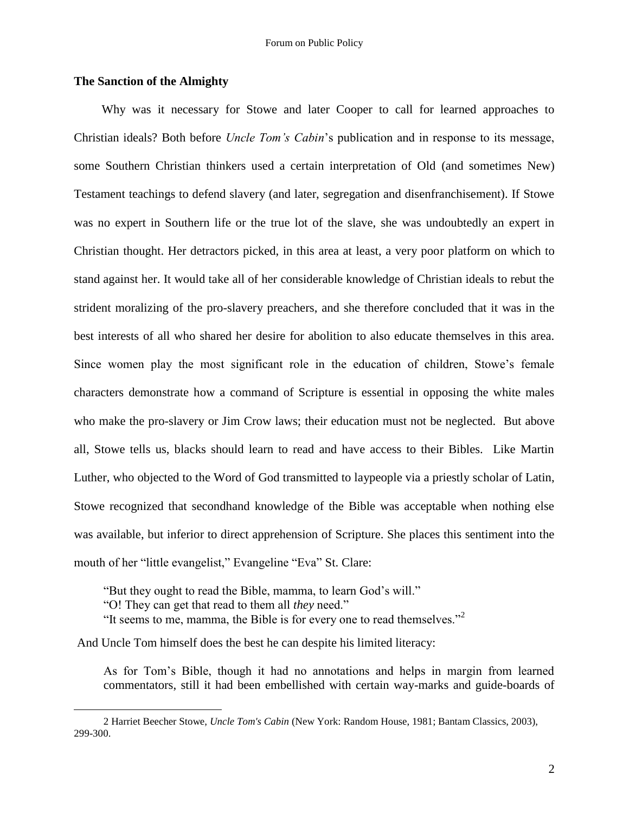### **The Sanction of the Almighty**

Why was it necessary for Stowe and later Cooper to call for learned approaches to Christian ideals? Both before *Uncle Tom's Cabin*'s publication and in response to its message, some Southern Christian thinkers used a certain interpretation of Old (and sometimes New) Testament teachings to defend slavery (and later, segregation and disenfranchisement). If Stowe was no expert in Southern life or the true lot of the slave, she was undoubtedly an expert in Christian thought. Her detractors picked, in this area at least, a very poor platform on which to stand against her. It would take all of her considerable knowledge of Christian ideals to rebut the strident moralizing of the pro-slavery preachers, and she therefore concluded that it was in the best interests of all who shared her desire for abolition to also educate themselves in this area. Since women play the most significant role in the education of children, Stowe's female characters demonstrate how a command of Scripture is essential in opposing the white males who make the pro-slavery or Jim Crow laws; their education must not be neglected. But above all, Stowe tells us, blacks should learn to read and have access to their Bibles. Like Martin Luther, who objected to the Word of God transmitted to laypeople via a priestly scholar of Latin, Stowe recognized that secondhand knowledge of the Bible was acceptable when nothing else was available, but inferior to direct apprehension of Scripture. She places this sentiment into the mouth of her "little evangelist," Evangeline "Eva" St. Clare:

"But they ought to read the Bible, mamma, to learn God's will."

"O! They can get that read to them all *they* need."

 $\overline{a}$ 

"It seems to me, mamma, the Bible is for every one to read themselves."<sup>2</sup>

And Uncle Tom himself does the best he can despite his limited literacy:

As for Tom's Bible, though it had no annotations and helps in margin from learned commentators, still it had been embellished with certain way-marks and guide-boards of

<sup>2</sup> Harriet Beecher Stowe, *Uncle Tom's Cabin* (New York: Random House, 1981; Bantam Classics, 2003), 299-300.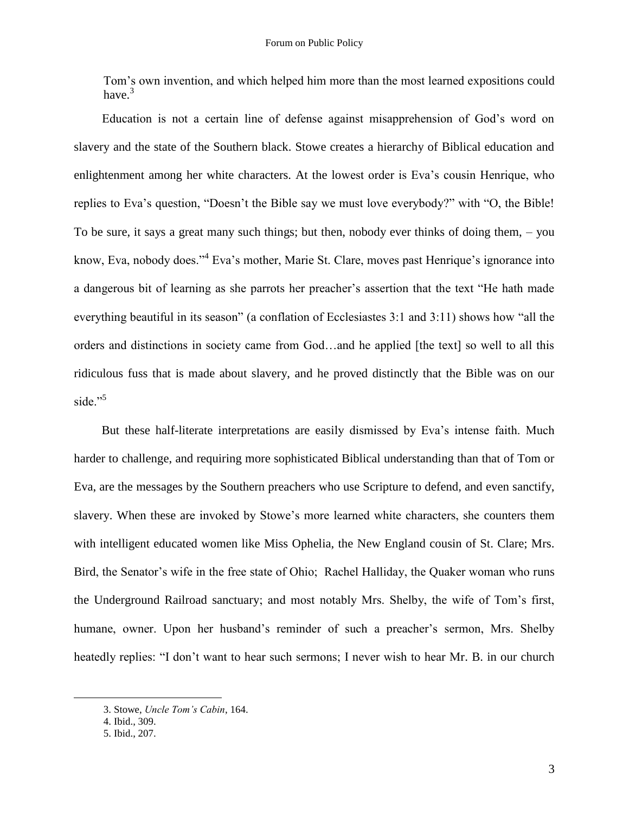Tom's own invention, and which helped him more than the most learned expositions could have.<sup>3</sup>

Education is not a certain line of defense against misapprehension of God's word on slavery and the state of the Southern black. Stowe creates a hierarchy of Biblical education and enlightenment among her white characters. At the lowest order is Eva's cousin Henrique, who replies to Eva's question, "Doesn't the Bible say we must love everybody?" with "O, the Bible! To be sure, it says a great many such things; but then, nobody ever thinks of doing them, – you know, Eva, nobody does."<sup>4</sup> Eva's mother, Marie St. Clare, moves past Henrique's ignorance into a dangerous bit of learning as she parrots her preacher's assertion that the text "He hath made everything beautiful in its season" (a conflation of Ecclesiastes  $3:1$  and  $3:11$ ) shows how "all the orders and distinctions in society came from God…and he applied [the text] so well to all this ridiculous fuss that is made about slavery, and he proved distinctly that the Bible was on our side." $5$ 

But these half-literate interpretations are easily dismissed by Eva's intense faith. Much harder to challenge, and requiring more sophisticated Biblical understanding than that of Tom or Eva, are the messages by the Southern preachers who use Scripture to defend, and even sanctify, slavery. When these are invoked by Stowe's more learned white characters, she counters them with intelligent educated women like Miss Ophelia, the New England cousin of St. Clare; Mrs. Bird, the Senator's wife in the free state of Ohio; Rachel Halliday, the Quaker woman who runs the Underground Railroad sanctuary; and most notably Mrs. Shelby, the wife of Tom's first, humane, owner. Upon her husband's reminder of such a preacher's sermon, Mrs. Shelby heatedly replies: "I don't want to hear such sermons; I never wish to hear Mr. B. in our church

<sup>3.</sup> Stowe, *Uncle Tom's Cabin*, 164.

<sup>4.</sup> Ibid., 309.

<sup>5.</sup> Ibid., 207.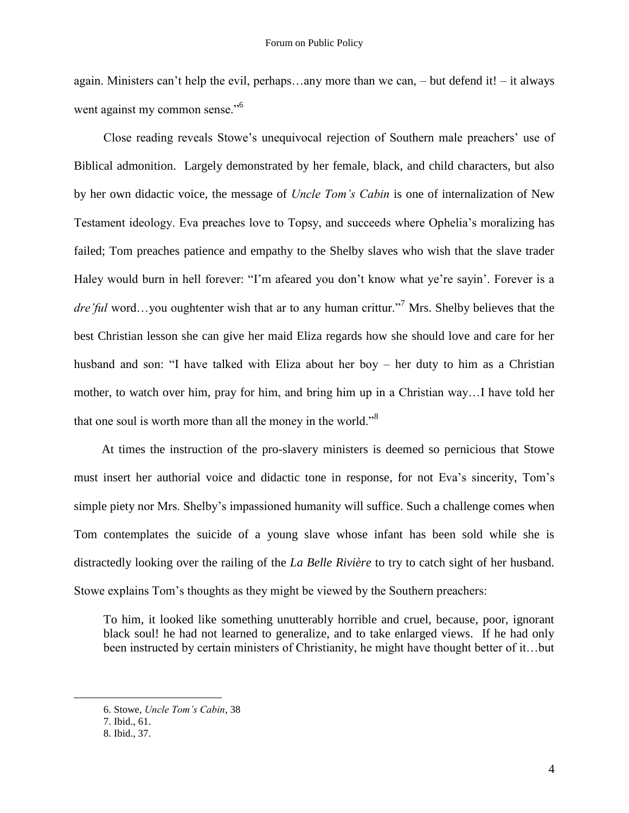again. Ministers can't help the evil, perhaps…any more than we can, – but defend it! – it always went against my common sense."<sup>6</sup>

Close reading reveals Stowe's unequivocal rejection of Southern male preachers' use of Biblical admonition. Largely demonstrated by her female, black, and child characters, but also by her own didactic voice, the message of *Uncle Tom's Cabin* is one of internalization of New Testament ideology. Eva preaches love to Topsy, and succeeds where Ophelia's moralizing has failed; Tom preaches patience and empathy to the Shelby slaves who wish that the slave trader Haley would burn in hell forever: "I'm afeared you don't know what ye're sayin'. Forever is a dre *ful* word...you oughtenter wish that ar to any human crittur."<sup>7</sup> Mrs. Shelby believes that the best Christian lesson she can give her maid Eliza regards how she should love and care for her husband and son: "I have talked with Eliza about her boy – her duty to him as a Christian mother, to watch over him, pray for him, and bring him up in a Christian way…I have told her that one soul is worth more than all the money in the world.<sup>38</sup>

At times the instruction of the pro-slavery ministers is deemed so pernicious that Stowe must insert her authorial voice and didactic tone in response, for not Eva's sincerity, Tom's simple piety nor Mrs. Shelby's impassioned humanity will suffice. Such a challenge comes when Tom contemplates the suicide of a young slave whose infant has been sold while she is distractedly looking over the railing of the *La Belle Rivière* to try to catch sight of her husband. Stowe explains Tom's thoughts as they might be viewed by the Southern preachers:

To him, it looked like something unutterably horrible and cruel, because, poor, ignorant black soul! he had not learned to generalize, and to take enlarged views. If he had only been instructed by certain ministers of Christianity, he might have thought better of it…but

<sup>6.</sup> Stowe, *Uncle Tom's Cabin*, 38

<sup>7.</sup> Ibid., 61.

<sup>8.</sup> Ibid., 37.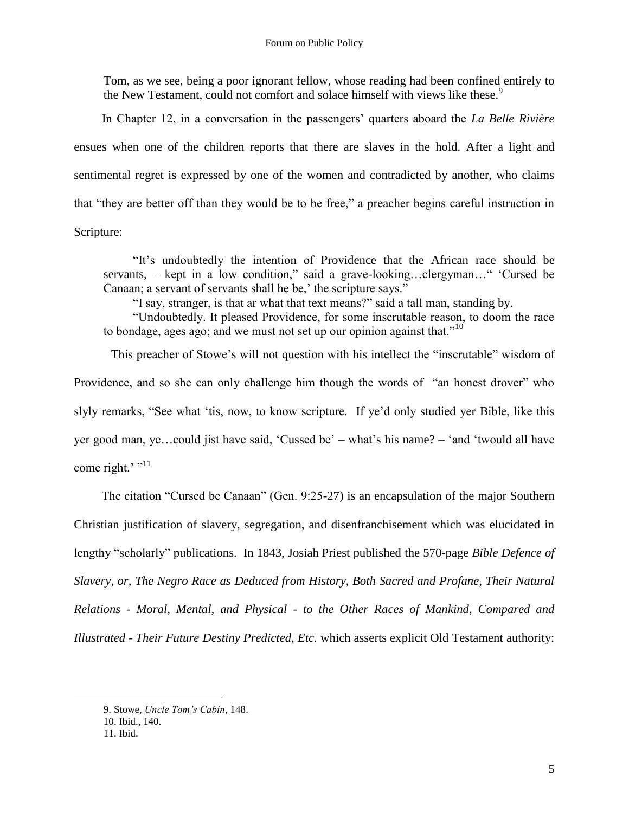Tom, as we see, being a poor ignorant fellow, whose reading had been confined entirely to the New Testament, could not comfort and solace himself with views like these.<sup>9</sup>

In Chapter 12, in a conversation in the passengers' quarters aboard the *La Belle Rivière* ensues when one of the children reports that there are slaves in the hold. After a light and sentimental regret is expressed by one of the women and contradicted by another, who claims that "they are better off than they would be to be free," a preacher begins careful instruction in Scripture:

―It's undoubtedly the intention of Providence that the African race should be servants,  $-$  kept in a low condition," said a grave-looking...clergyman..." 'Cursed be Canaan; a servant of servants shall he be,' the scripture says."

"I say, stranger, is that ar what that text means?" said a tall man, standing by.

―Undoubtedly. It pleased Providence, for some inscrutable reason, to doom the race to bondage, ages ago; and we must not set up our opinion against that. $10^{10}$ 

This preacher of Stowe's will not question with his intellect the "inscrutable" wisdom of Providence, and so she can only challenge him though the words of "an honest drover" who slyly remarks, "See what 'tis, now, to know scripture. If ye'd only studied yer Bible, like this yer good man, ye…could jist have said, ‗Cussed be' – what's his name? – ‗and ‗twould all have come right.' $"$ <sup>11</sup>

The citation "Cursed be Canaan" (Gen. 9:25-27) is an encapsulation of the major Southern Christian justification of slavery, segregation, and disenfranchisement which was elucidated in lengthy "scholarly" publications. In 1843, Josiah Priest published the 570-page *Bible Defence of Slavery, or, The Negro Race as Deduced from History, Both Sacred and Profane, Their Natural Relations - Moral, Mental, and Physical - to the Other Races of Mankind, Compared and Illustrated - Their Future Destiny Predicted, Etc.* which asserts explicit Old Testament authority:

<sup>9.</sup> Stowe, *Uncle Tom's Cabin*, 148. 10. Ibid., 140. 11. Ibid.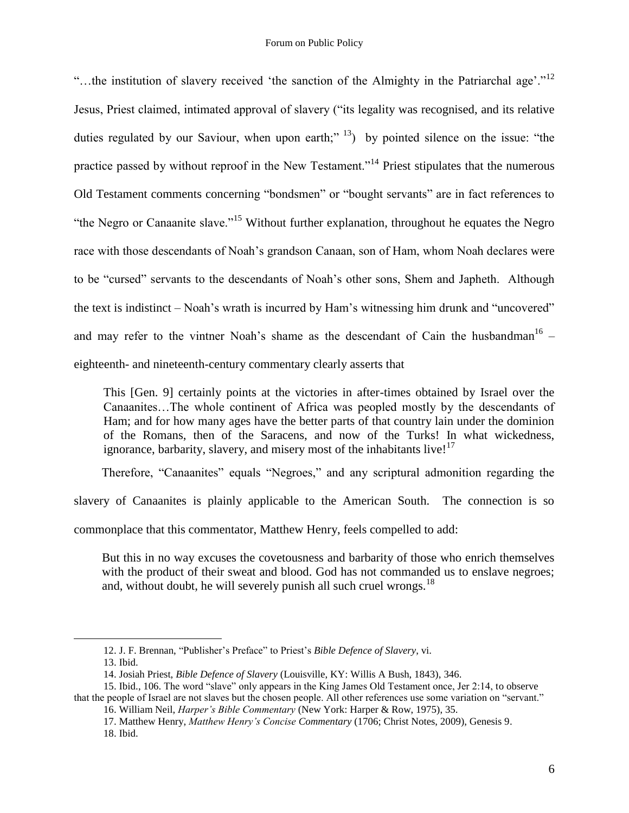"...the institution of slavery received 'the sanction of the Almighty in the Patriarchal age'."<sup>12</sup> Jesus, Priest claimed, intimated approval of slavery ("its legality was recognised, and its relative duties regulated by our Saviour, when upon earth;"  $^{13}$ ) by pointed silence on the issue: "the practice passed by without reproof in the New Testament.<sup>14</sup> Priest stipulates that the numerous Old Testament comments concerning "bondsmen" or "bought servants" are in fact references to "the Negro or Canaanite slave."<sup>15</sup> Without further explanation, throughout he equates the Negro race with those descendants of Noah's grandson Canaan, son of Ham, whom Noah declares were to be "cursed" servants to the descendants of Noah's other sons, Shem and Japheth. Although the text is indistinct – Noah's wrath is incurred by Ham's witnessing him drunk and "uncovered" and may refer to the vintner Noah's shame as the descendant of Cain the husbandman<sup>16</sup> – eighteenth- and nineteenth-century commentary clearly asserts that

This [Gen. 9] certainly points at the victories in after-times obtained by Israel over the Canaanites…The whole continent of Africa was peopled mostly by the descendants of Ham; and for how many ages have the better parts of that country lain under the dominion of the Romans, then of the Saracens, and now of the Turks! In what wickedness, ignorance, barbarity, slavery, and misery most of the inhabitants live! $17$ 

Therefore, "Canaanites" equals "Negroes," and any scriptural admonition regarding the

slavery of Canaanites is plainly applicable to the American South. The connection is so

commonplace that this commentator, Matthew Henry, feels compelled to add:

But this in no way excuses the covetousness and barbarity of those who enrich themselves with the product of their sweat and blood. God has not commanded us to enslave negroes; and, without doubt, he will severely punish all such cruel wrongs. $^{18}$ 

<sup>12.</sup> J. F. Brennan, "Publisher's Preface" to Priest's *Bible Defence of Slavery*, vi.

<sup>13.</sup> Ibid.

<sup>14.</sup> Josiah Priest, *Bible Defence of Slavery* (Louisville, KY: Willis A Bush, 1843), 346.

<sup>15.</sup> Ibid., 106. The word "slave" only appears in the King James Old Testament once, Jer 2:14, to observe that the people of Israel are not slaves but the chosen people. All other references use some variation on "servant."

<sup>16.</sup> William Neil, *Harper's Bible Commentary* (New York: Harper & Row, 1975), 35.

<sup>17.</sup> Matthew Henry, *Matthew Henry's Concise Commentary* (1706; Christ Notes, 2009), Genesis 9. 18. Ibid.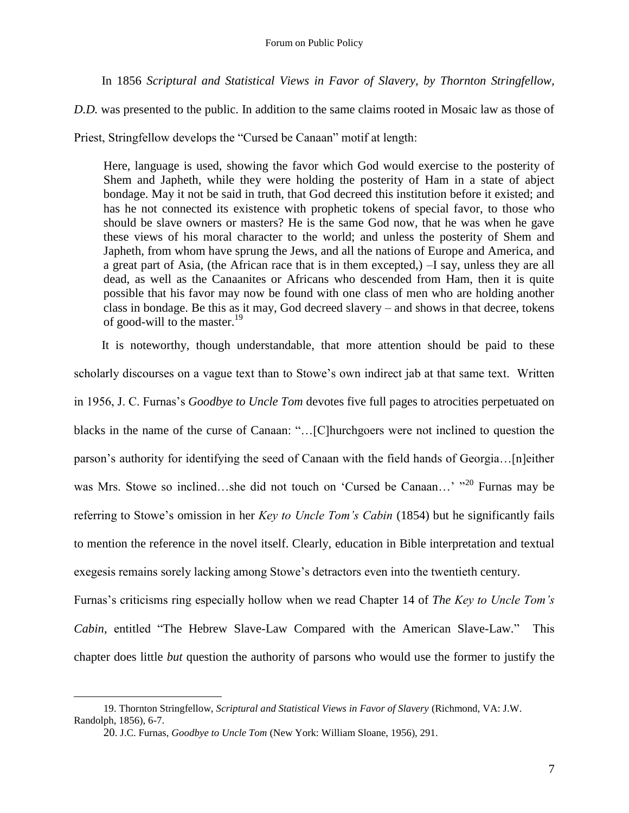In 1856 *Scriptural and Statistical Views in Favor of Slavery, by Thornton Stringfellow,* 

*D.D.* was presented to the public. In addition to the same claims rooted in Mosaic law as those of

Priest, Stringfellow develops the "Cursed be Canaan" motif at length:

Here, language is used, showing the favor which God would exercise to the posterity of Shem and Japheth, while they were holding the posterity of Ham in a state of abject bondage. May it not be said in truth, that God decreed this institution before it existed; and has he not connected its existence with prophetic tokens of special favor, to those who should be slave owners or masters? He is the same God now, that he was when he gave these views of his moral character to the world; and unless the posterity of Shem and Japheth, from whom have sprung the Jews, and all the nations of Europe and America, and a great part of Asia, (the African race that is in them excepted,) –I say, unless they are all dead, as well as the Canaanites or Africans who descended from Ham, then it is quite possible that his favor may now be found with one class of men who are holding another class in bondage. Be this as it may, God decreed slavery – and shows in that decree, tokens of good-will to the master.<sup>19</sup>

It is noteworthy, though understandable, that more attention should be paid to these scholarly discourses on a vague text than to Stowe's own indirect jab at that same text. Written in 1956, J. C. Furnas's *Goodbye to Uncle Tom* devotes five full pages to atrocities perpetuated on blacks in the name of the curse of Canaan: "...[C]hurchgoers were not inclined to question the parson's authority for identifying the seed of Canaan with the field hands of Georgia...[n]either was Mrs. Stowe so inclined…she did not touch on 'Cursed be Canaan…' "<sup>20</sup> Furnas may be referring to Stowe's omission in her *Key to Uncle Tom's Cabin* (1854) but he significantly fails to mention the reference in the novel itself. Clearly, education in Bible interpretation and textual exegesis remains sorely lacking among Stowe's detractors even into the twentieth century.

Furnas's criticisms ring especially hollow when we read Chapter 14 of *The Key to Uncle Tom's Cabin*, entitled "The Hebrew Slave-Law Compared with the American Slave-Law." This chapter does little *but* question the authority of parsons who would use the former to justify the

<sup>19.</sup> Thornton Stringfellow, *Scriptural and Statistical Views in Favor of Slavery* (Richmond, VA: J.W. Randolph, 1856), 6-7.

<sup>20</sup>. J.C. Furnas, *Goodbye to Uncle Tom* (New York: William Sloane, 1956), 291.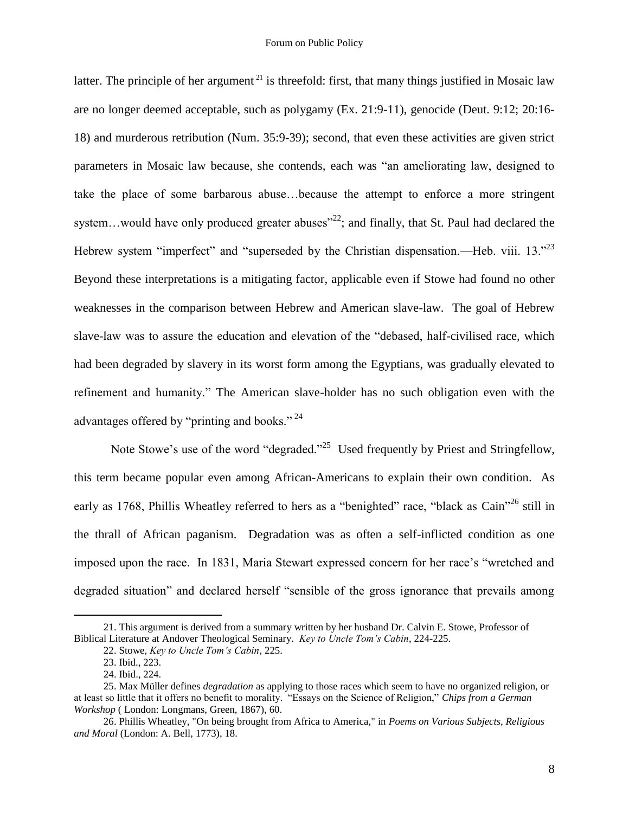latter. The principle of her argument  $2<sup>1</sup>$  is threefold: first, that many things justified in Mosaic law are no longer deemed acceptable, such as polygamy (Ex. 21:9-11), genocide (Deut. 9:12; 20:16- 18) and murderous retribution (Num. 35:9-39); second, that even these activities are given strict parameters in Mosaic law because, she contends, each was "an ameliorating law, designed to take the place of some barbarous abuse…because the attempt to enforce a more stringent system...would have only produced greater abuses<sup> $22$ </sup>; and finally, that St. Paul had declared the Hebrew system "imperfect" and "superseded by the Christian dispensation.—Heb. viii.  $13.^{23}$ Beyond these interpretations is a mitigating factor, applicable even if Stowe had found no other weaknesses in the comparison between Hebrew and American slave-law. The goal of Hebrew slave-law was to assure the education and elevation of the "debased, half-civilised race, which had been degraded by slavery in its worst form among the Egyptians, was gradually elevated to refinement and humanity." The American slave-holder has no such obligation even with the advantages offered by "printing and books."  $^{24}$ 

Note Stowe's use of the word "degraded."<sup>25</sup> Used frequently by Priest and Stringfellow, this term became popular even among African-Americans to explain their own condition. As early as 1768, Phillis Wheatley referred to hers as a "benighted" race, "black as Cain"<sup>26</sup> still in the thrall of African paganism. Degradation was as often a self-inflicted condition as one imposed upon the race. In 1831, Maria Stewart expressed concern for her race's "wretched and degraded situation" and declared herself "sensible of the gross ignorance that prevails among

<sup>21.</sup> This argument is derived from a summary written by her husband Dr. Calvin E. Stowe, Professor of Biblical Literature at Andover Theological Seminary. *Key to Uncle Tom's Cabin*, 224-225.

<sup>22.</sup> Stowe, *Key to Uncle Tom's Cabin*, 225.

<sup>23.</sup> Ibid., 223.

<sup>24.</sup> Ibid., 224.

<sup>25.</sup> Max Müller defines *degradation* as applying to those races which seem to have no organized religion, or at least so little that it offers no benefit to morality. "Essays on the Science of Religion," *Chips from a German Workshop* ( London: Longmans, Green, 1867), 60.

<sup>26.</sup> Phillis Wheatley, "On being brought from Africa to America," in *Poems on Various Subjects, Religious and Moral* (London: A. Bell, 1773), 18.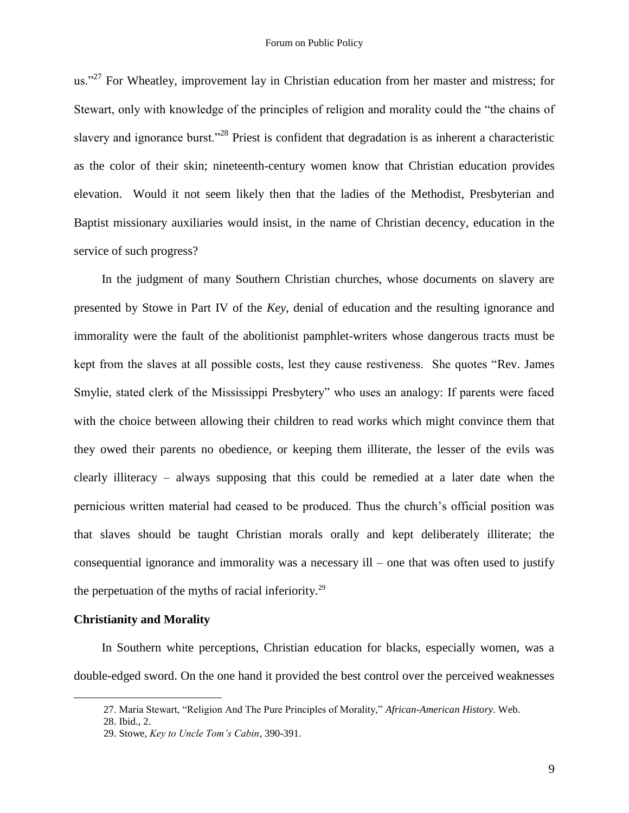us."<sup>27</sup> For Wheatley, improvement lay in Christian education from her master and mistress; for Stewart, only with knowledge of the principles of religion and morality could the "the chains of slavery and ignorance burst."<sup>28</sup> Priest is confident that degradation is as inherent a characteristic as the color of their skin; nineteenth-century women know that Christian education provides elevation. Would it not seem likely then that the ladies of the Methodist, Presbyterian and Baptist missionary auxiliaries would insist, in the name of Christian decency, education in the service of such progress?

In the judgment of many Southern Christian churches, whose documents on slavery are presented by Stowe in Part IV of the *Key*, denial of education and the resulting ignorance and immorality were the fault of the abolitionist pamphlet-writers whose dangerous tracts must be kept from the slaves at all possible costs, lest they cause restiveness. She quotes "Rev. James" Smylie, stated clerk of the Mississippi Presbytery" who uses an analogy: If parents were faced with the choice between allowing their children to read works which might convince them that they owed their parents no obedience, or keeping them illiterate, the lesser of the evils was clearly illiteracy – always supposing that this could be remedied at a later date when the pernicious written material had ceased to be produced. Thus the church's official position was that slaves should be taught Christian morals orally and kept deliberately illiterate; the consequential ignorance and immorality was a necessary ill – one that was often used to justify the perpetuation of the myths of racial inferiority.<sup>29</sup>

#### **Christianity and Morality**

In Southern white perceptions, Christian education for blacks, especially women, was a double-edged sword. On the one hand it provided the best control over the perceived weaknesses

<sup>27.</sup> Maria Stewart, "Religion And The Pure Principles of Morality," African-American History. Web.

<sup>28.</sup> Ibid., 2.

<sup>29.</sup> Stowe, *Key to Uncle Tom's Cabin*, 390-391.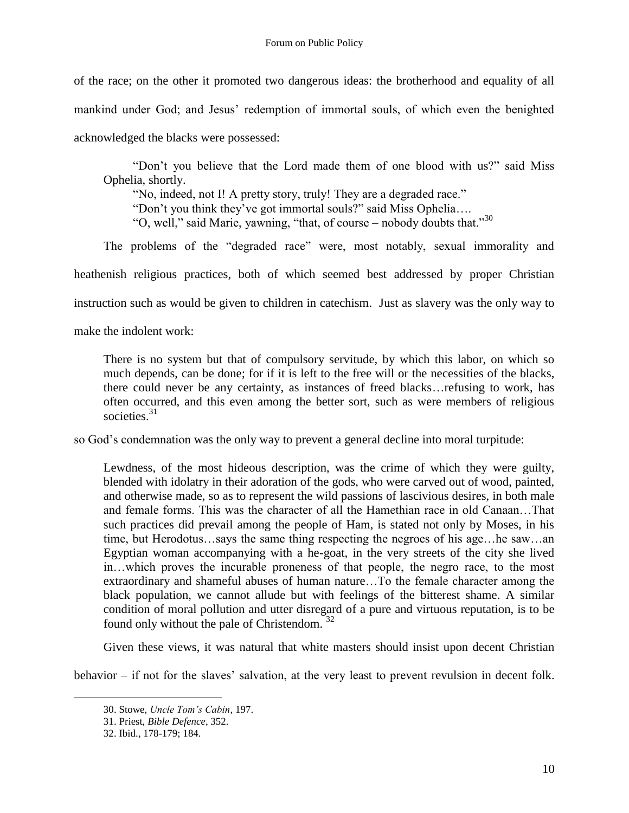of the race; on the other it promoted two dangerous ideas: the brotherhood and equality of all mankind under God; and Jesus' redemption of immortal souls, of which even the benighted acknowledged the blacks were possessed:

"Don't you believe that the Lord made them of one blood with us?" said Miss Ophelia, shortly.

"No, indeed, not I! A pretty story, truly! They are a degraded race." "Don't you think they've got immortal souls?" said Miss Ophelia.... "O, well," said Marie, yawning, "that, of course – nobody doubts that."<sup>30</sup>

The problems of the "degraded race" were, most notably, sexual immorality and heathenish religious practices, both of which seemed best addressed by proper Christian instruction such as would be given to children in catechism. Just as slavery was the only way to make the indolent work:

There is no system but that of compulsory servitude, by which this labor, on which so much depends, can be done; for if it is left to the free will or the necessities of the blacks, there could never be any certainty, as instances of freed blacks…refusing to work, has often occurred, and this even among the better sort, such as were members of religious societies. $31$ 

so God's condemnation was the only way to prevent a general decline into moral turpitude:

Lewdness, of the most hideous description, was the crime of which they were guilty, blended with idolatry in their adoration of the gods, who were carved out of wood, painted, and otherwise made, so as to represent the wild passions of lascivious desires, in both male and female forms. This was the character of all the Hamethian race in old Canaan…That such practices did prevail among the people of Ham, is stated not only by Moses, in his time, but Herodotus…says the same thing respecting the negroes of his age…he saw…an Egyptian woman accompanying with a he-goat, in the very streets of the city she lived in…which proves the incurable proneness of that people, the negro race, to the most extraordinary and shameful abuses of human nature…To the female character among the black population, we cannot allude but with feelings of the bitterest shame. A similar condition of moral pollution and utter disregard of a pure and virtuous reputation, is to be found only without the pale of Christendom.  $32$ 

Given these views, it was natural that white masters should insist upon decent Christian

behavior – if not for the slaves' salvation, at the very least to prevent revulsion in decent folk.

<sup>30.</sup> Stowe, *Uncle Tom's Cabin*, 197.

<sup>31.</sup> Priest, *Bible Defence*, 352.

<sup>32.</sup> Ibid., 178-179; 184.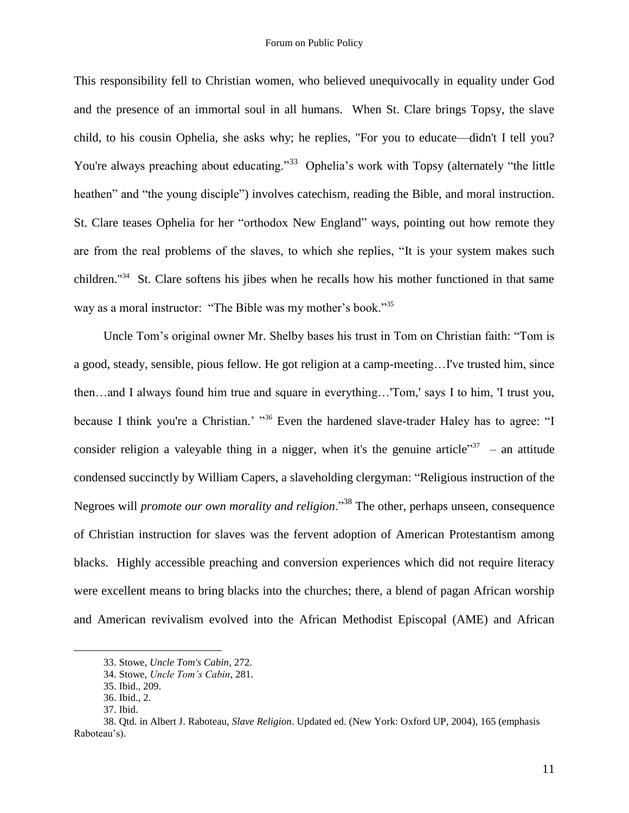This responsibility fell to Christian women, who believed unequivocally in equality under God and the presence of an immortal soul in all humans. When St. Clare brings Topsy, the slave child, to his cousin Ophelia, she asks why; he replies, "For you to educate—didn't I tell you? You're always preaching about educating."<sup>33</sup> Ophelia's work with Topsy (alternately "the little heathen" and "the young disciple") involves catechism, reading the Bible, and moral instruction. St. Clare teases Ophelia for her "orthodox New England" ways, pointing out how remote they are from the real problems of the slaves, to which she replies, "It is your system makes such children."<sup>34</sup> St. Clare softens his jibes when he recalls how his mother functioned in that same way as a moral instructor: "The Bible was my mother's book."<sup>35</sup>

Uncle Tom's original owner Mr. Shelby bases his trust in Tom on Christian faith: "Tom is a good, steady, sensible, pious fellow. He got religion at a camp-meeting…I've trusted him, since then…and I always found him true and square in everything…'Tom,' says I to him, 'I trust you, because I think you're a Christian.' "36 Even the hardened slave-trader Haley has to agree: "I consider religion a valeyable thing in a nigger, when it's the genuine article<sup>337</sup> – an attitude condensed succinctly by William Capers, a slaveholding clergyman: "Religious instruction of the Negroes will *promote our own morality and religion*.<sup>38</sup> The other, perhaps unseen, consequence of Christian instruction for slaves was the fervent adoption of American Protestantism among blacks. Highly accessible preaching and conversion experiences which did not require literacy were excellent means to bring blacks into the churches; there, a blend of pagan African worship and American revivalism evolved into the African Methodist Episcopal (AME) and African

<sup>33.</sup> Stowe, *Uncle Tom's Cabin*, 272.

<sup>34.</sup> Stowe, *Uncle Tom's Cabin*, 281.

<sup>35.</sup> Ibid., 209.

<sup>36.</sup> Ibid., 2.

<sup>37.</sup> Ibid.

<sup>38.</sup> Qtd. in Albert J. Raboteau, *Slave Religion*. Updated ed. (New York: Oxford UP, 2004), 165 (emphasis Raboteau's).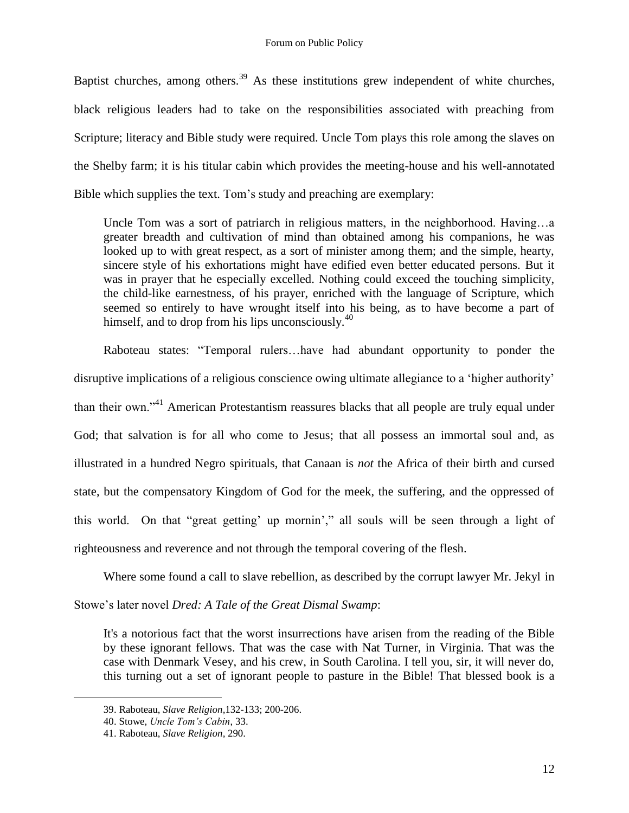Baptist churches, among others.<sup>39</sup> As these institutions grew independent of white churches, black religious leaders had to take on the responsibilities associated with preaching from Scripture; literacy and Bible study were required. Uncle Tom plays this role among the slaves on the Shelby farm; it is his titular cabin which provides the meeting-house and his well-annotated Bible which supplies the text. Tom's study and preaching are exemplary:

Uncle Tom was a sort of patriarch in religious matters, in the neighborhood. Having…a greater breadth and cultivation of mind than obtained among his companions, he was looked up to with great respect, as a sort of minister among them; and the simple, hearty, sincere style of his exhortations might have edified even better educated persons. But it was in prayer that he especially excelled. Nothing could exceed the touching simplicity, the child-like earnestness, of his prayer, enriched with the language of Scripture, which seemed so entirely to have wrought itself into his being, as to have become a part of himself, and to drop from his lips unconsciously. $40$ 

Raboteau states: "Temporal rulers...have had abundant opportunity to ponder the disruptive implications of a religious conscience owing ultimate allegiance to a 'higher authority' than their own."<sup>41</sup> American Protestantism reassures blacks that all people are truly equal under God; that salvation is for all who come to Jesus; that all possess an immortal soul and, as illustrated in a hundred Negro spirituals, that Canaan is *not* the Africa of their birth and cursed state, but the compensatory Kingdom of God for the meek, the suffering, and the oppressed of this world. On that "great getting' up mornin'," all souls will be seen through a light of righteousness and reverence and not through the temporal covering of the flesh.

Where some found a call to slave rebellion, as described by the corrupt lawyer Mr. Jekyl in

Stowe's later novel *Dred: A Tale of the Great Dismal Swamp*:

It's a notorious fact that the worst insurrections have arisen from the reading of the Bible by these ignorant fellows. That was the case with Nat Turner, in Virginia. That was the case with Denmark Vesey, and his crew, in South Carolina. I tell you, sir, it will never do, this turning out a set of ignorant people to pasture in the Bible! That blessed book is a

<sup>39.</sup> Raboteau, *Slave Religion,*132-133; 200-206.

<sup>40.</sup> Stowe, *Uncle Tom's Cabin*, 33.

<sup>41.</sup> Raboteau, *Slave Religion,* 290.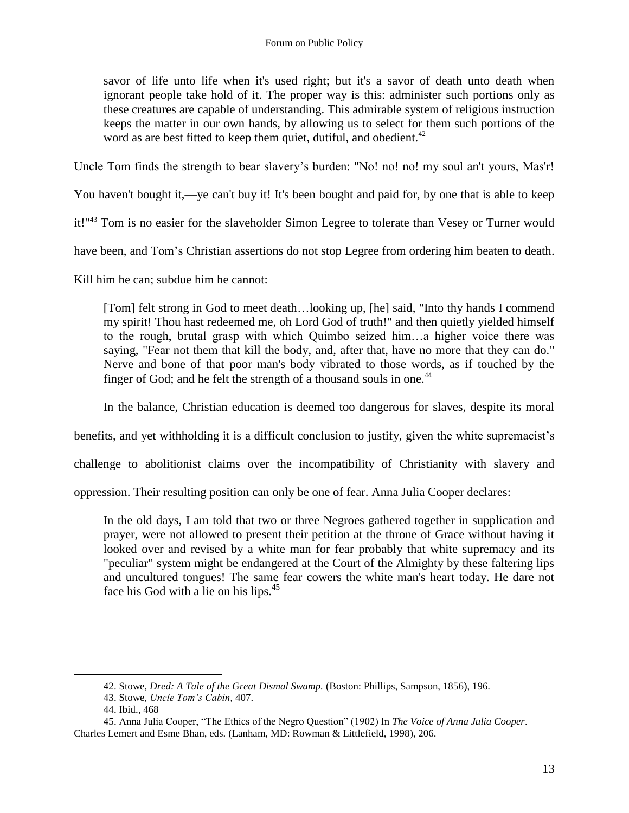savor of life unto life when it's used right; but it's a savor of death unto death when ignorant people take hold of it. The proper way is this: administer such portions only as these creatures are capable of understanding. This admirable system of religious instruction keeps the matter in our own hands, by allowing us to select for them such portions of the word as are best fitted to keep them quiet, dutiful, and obedient.<sup>42</sup>

Uncle Tom finds the strength to bear slavery's burden: "No! no! no! my soul an't yours, Mas'r!

You haven't bought it,—ye can't buy it! It's been bought and paid for, by one that is able to keep

it!"<sup>43</sup> Tom is no easier for the slaveholder Simon Legree to tolerate than Vesey or Turner would

have been, and Tom's Christian assertions do not stop Legree from ordering him beaten to death.

Kill him he can; subdue him he cannot:

[Tom] felt strong in God to meet death...looking up, [he] said, "Into thy hands I commend my spirit! Thou hast redeemed me, oh Lord God of truth!" and then quietly yielded himself to the rough, brutal grasp with which Quimbo seized him…a higher voice there was saying, "Fear not them that kill the body, and, after that, have no more that they can do." Nerve and bone of that poor man's body vibrated to those words, as if touched by the finger of God; and he felt the strength of a thousand souls in one.<sup>44</sup>

In the balance, Christian education is deemed too dangerous for slaves, despite its moral

benefits, and yet withholding it is a difficult conclusion to justify, given the white supremacist's

challenge to abolitionist claims over the incompatibility of Christianity with slavery and

oppression. Their resulting position can only be one of fear. Anna Julia Cooper declares:

In the old days, I am told that two or three Negroes gathered together in supplication and prayer, were not allowed to present their petition at the throne of Grace without having it looked over and revised by a white man for fear probably that white supremacy and its "peculiar" system might be endangered at the Court of the Almighty by these faltering lips and uncultured tongues! The same fear cowers the white man's heart today. He dare not face his God with a lie on his lips. $45$ 

<sup>42.</sup> Stowe, *Dred: A Tale of the Great Dismal Swamp.* (Boston: Phillips, Sampson, 1856), 196.

<sup>43.</sup> Stowe, *Uncle Tom's Cabin*, 407.

<sup>44.</sup> Ibid., 468

<sup>45.</sup> Anna Julia Cooper, "The Ethics of the Negro Question" (1902) In *The Voice of Anna Julia Cooper*. Charles Lemert and Esme Bhan, eds. (Lanham, MD: Rowman & Littlefield, 1998), 206.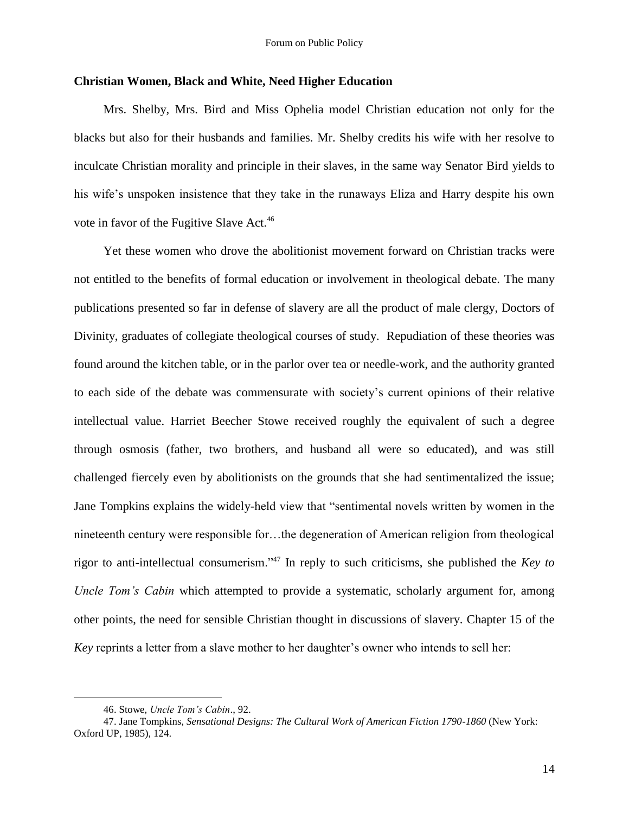### **Christian Women, Black and White, Need Higher Education**

Mrs. Shelby, Mrs. Bird and Miss Ophelia model Christian education not only for the blacks but also for their husbands and families. Mr. Shelby credits his wife with her resolve to inculcate Christian morality and principle in their slaves, in the same way Senator Bird yields to his wife's unspoken insistence that they take in the runaways Eliza and Harry despite his own vote in favor of the Fugitive Slave Act.<sup>46</sup>

Yet these women who drove the abolitionist movement forward on Christian tracks were not entitled to the benefits of formal education or involvement in theological debate. The many publications presented so far in defense of slavery are all the product of male clergy, Doctors of Divinity, graduates of collegiate theological courses of study. Repudiation of these theories was found around the kitchen table, or in the parlor over tea or needle-work, and the authority granted to each side of the debate was commensurate with society's current opinions of their relative intellectual value. Harriet Beecher Stowe received roughly the equivalent of such a degree through osmosis (father, two brothers, and husband all were so educated), and was still challenged fiercely even by abolitionists on the grounds that she had sentimentalized the issue; Jane Tompkins explains the widely-held view that "sentimental novels written by women in the nineteenth century were responsible for…the degeneration of American religion from theological rigor to anti-intellectual consumerism.<sup>347</sup> In reply to such criticisms, she published the *Key to Uncle Tom's Cabin* which attempted to provide a systematic, scholarly argument for, among other points, the need for sensible Christian thought in discussions of slavery. Chapter 15 of the *Key* reprints a letter from a slave mother to her daughter's owner who intends to sell her:

<sup>46.</sup> Stowe, *Uncle Tom's Cabin*., 92.

<sup>47.</sup> Jane Tompkins, *Sensational Designs: The Cultural Work of American Fiction 1790-1860* (New York: Oxford UP, 1985), 124.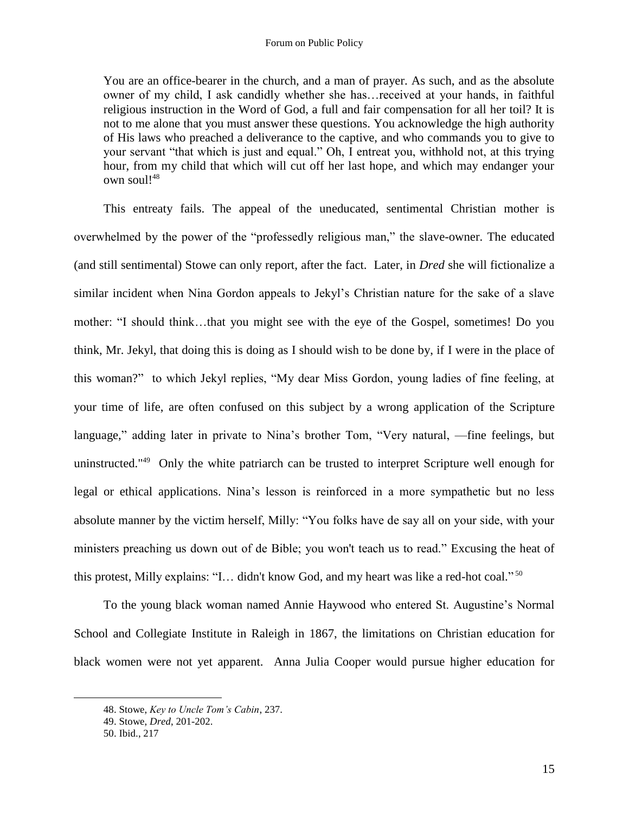You are an office-bearer in the church, and a man of prayer. As such, and as the absolute owner of my child, I ask candidly whether she has…received at your hands, in faithful religious instruction in the Word of God, a full and fair compensation for all her toil? It is not to me alone that you must answer these questions. You acknowledge the high authority of His laws who preached a deliverance to the captive, and who commands you to give to your servant "that which is just and equal." Oh, I entreat you, withhold not, at this trying hour, from my child that which will cut off her last hope, and which may endanger your own soul! $48$ 

This entreaty fails. The appeal of the uneducated, sentimental Christian mother is overwhelmed by the power of the "professedly religious man," the slave-owner. The educated (and still sentimental) Stowe can only report, after the fact. Later, in *Dred* she will fictionalize a similar incident when Nina Gordon appeals to Jekyl's Christian nature for the sake of a slave mother: "I should think...that you might see with the eye of the Gospel, sometimes! Do you think, Mr. Jekyl, that doing this is doing as I should wish to be done by, if I were in the place of this woman?" to which Jekyl replies, "My dear Miss Gordon, young ladies of fine feeling, at your time of life, are often confused on this subject by a wrong application of the Scripture language," adding later in private to Nina's brother Tom, "Very natural, —fine feelings, but uninstructed."<sup>49</sup> Only the white patriarch can be trusted to interpret Scripture well enough for legal or ethical applications. Nina's lesson is reinforced in a more sympathetic but no less absolute manner by the victim herself, Milly: "You folks have de say all on your side, with your ministers preaching us down out of de Bible; you won't teach us to read." Excusing the heat of this protest, Milly explains: "I... didn't know God, and my heart was like a red-hot coal."  $50$ 

To the young black woman named Annie Haywood who entered St. Augustine's Normal School and Collegiate Institute in Raleigh in 1867, the limitations on Christian education for black women were not yet apparent. Anna Julia Cooper would pursue higher education for

<sup>48.</sup> Stowe, *Key to Uncle Tom's Cabin*, 237.

<sup>49.</sup> Stowe, *Dred*, 201-202.

<sup>50.</sup> Ibid., 217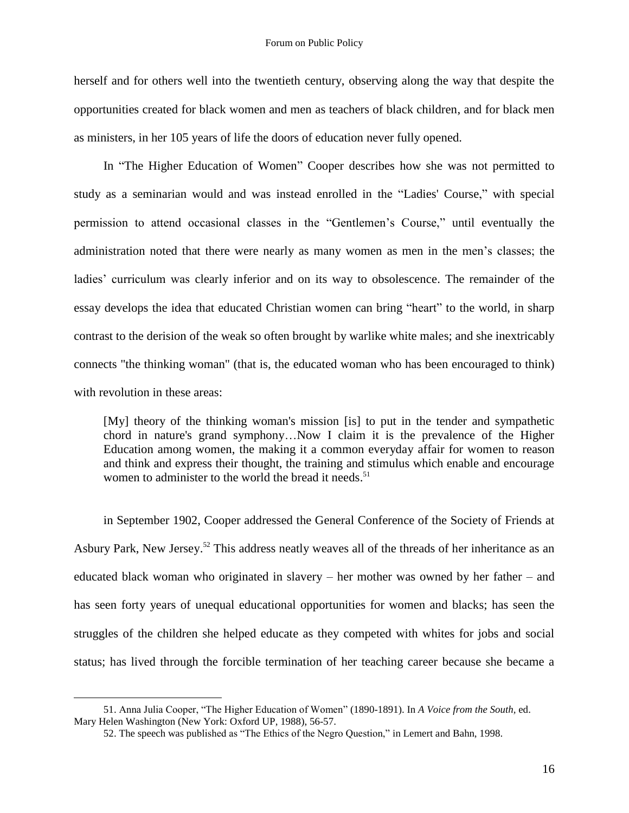herself and for others well into the twentieth century, observing along the way that despite the opportunities created for black women and men as teachers of black children, and for black men as ministers, in her 105 years of life the doors of education never fully opened.

In "The Higher Education of Women" Cooper describes how she was not permitted to study as a seminarian would and was instead enrolled in the "Ladies' Course," with special permission to attend occasional classes in the "Gentlemen's Course," until eventually the administration noted that there were nearly as many women as men in the men's classes; the ladies' curriculum was clearly inferior and on its way to obsolescence. The remainder of the essay develops the idea that educated Christian women can bring "heart" to the world, in sharp contrast to the derision of the weak so often brought by warlike white males; and she inextricably connects "the thinking woman" (that is, the educated woman who has been encouraged to think) with revolution in these areas:

[My] theory of the thinking woman's mission [is] to put in the tender and sympathetic chord in nature's grand symphony…Now I claim it is the prevalence of the Higher Education among women, the making it a common everyday affair for women to reason and think and express their thought, the training and stimulus which enable and encourage women to administer to the world the bread it needs. 51

in September 1902, Cooper addressed the General Conference of the Society of Friends at Asbury Park, New Jersey.<sup>52</sup> This address neatly weaves all of the threads of her inheritance as an educated black woman who originated in slavery – her mother was owned by her father – and has seen forty years of unequal educational opportunities for women and blacks; has seen the struggles of the children she helped educate as they competed with whites for jobs and social status; has lived through the forcible termination of her teaching career because she became a

<sup>51.</sup> Anna Julia Cooper, "The Higher Education of Women" (1890-1891). In *A Voice from the South*, ed. Mary Helen Washington (New York: Oxford UP, 1988), 56-57.

<sup>52.</sup> The speech was published as "The Ethics of the Negro Question," in Lemert and Bahn, 1998.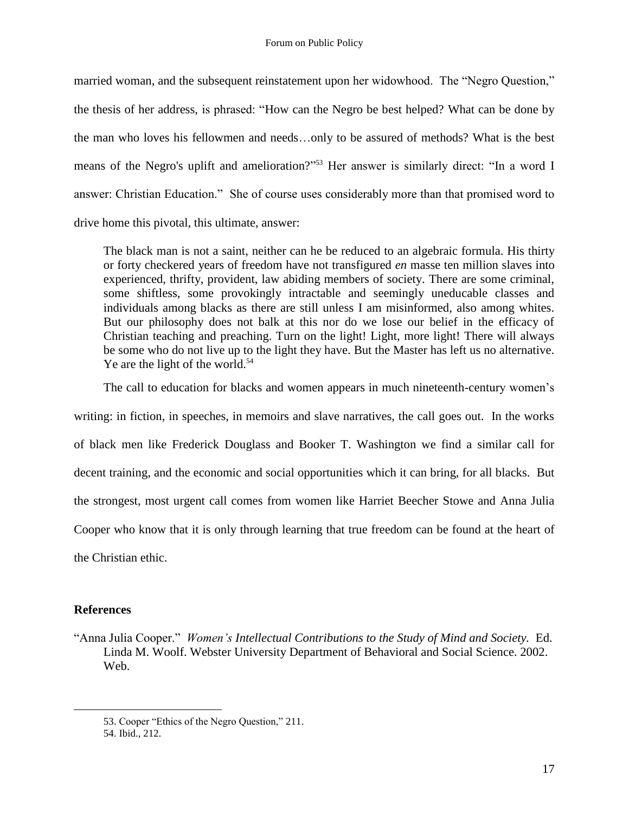married woman, and the subsequent reinstatement upon her widowhood. The "Negro Question," the thesis of her address, is phrased: "How can the Negro be best helped? What can be done by the man who loves his fellowmen and needs…only to be assured of methods? What is the best means of the Negro's uplift and amelioration?"<sup>53</sup> Her answer is similarly direct: "In a word I answer: Christian Education." She of course uses considerably more than that promised word to drive home this pivotal, this ultimate, answer:

The black man is not a saint, neither can he be reduced to an algebraic formula. His thirty or forty checkered years of freedom have not transfigured *en* masse ten million slaves into experienced, thrifty, provident, law abiding members of society. There are some criminal, some shiftless, some provokingly intractable and seemingly uneducable classes and individuals among blacks as there are still unless I am misinformed, also among whites. But our philosophy does not balk at this nor do we lose our belief in the efficacy of Christian teaching and preaching. Turn on the light! Light, more light! There will always be some who do not live up to the light they have. But the Master has left us no alternative. Ye are the light of the world.<sup>54</sup>

The call to education for blacks and women appears in much nineteenth-century women's writing: in fiction, in speeches, in memoirs and slave narratives, the call goes out. In the works of black men like Frederick Douglass and Booker T. Washington we find a similar call for decent training, and the economic and social opportunities which it can bring, for all blacks. But the strongest, most urgent call comes from women like Harriet Beecher Stowe and Anna Julia Cooper who know that it is only through learning that true freedom can be found at the heart of the Christian ethic.

# **References**

<sup>―</sup>Anna Julia Cooper.‖ *Women's Intellectual Contributions to the Study of Mind and Society.* Ed. Linda M. Woolf. Webster University Department of Behavioral and Social Science. 2002. Web.

<sup>53.</sup> Cooper "Ethics of the Negro Question," 211.

<sup>54.</sup> Ibid., 212.